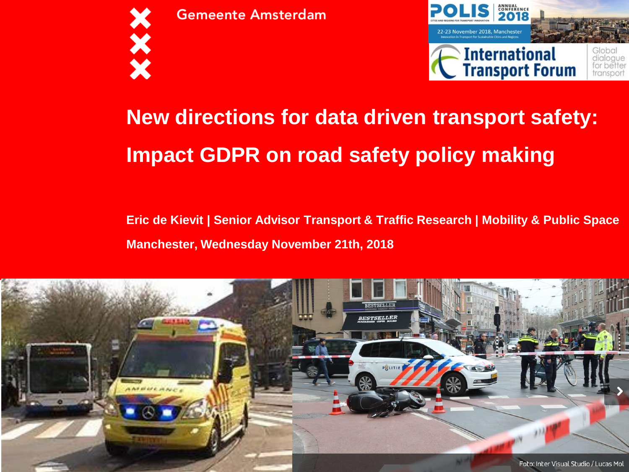

**Gemeente Amsterdam** 



### **New directions for data driven transport safety: Impact GDPR on road safety policy making**

#### **Eric de Kievit | Senior Advisor Transport & Traffic Research | Mobility & Public Space Manchester, Wednesday November 21th, 2018**

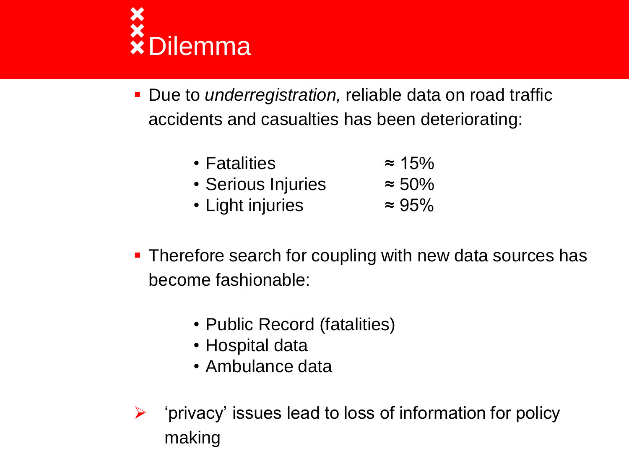

- Due to *underregistration,* reliable data on road traffic accidents and casualties has been deteriorating:
	- Fatalities ≈ 15% • Serious Injuries ≈ 50%
	- Light injuries ≈ 95%
- **Therefore search for coupling with new data sources has** become fashionable:
	- Public Record (fatalities)
	- Hospital data
	- Ambulance data
- $\triangleright$  'privacy' issues lead to loss of information for policy making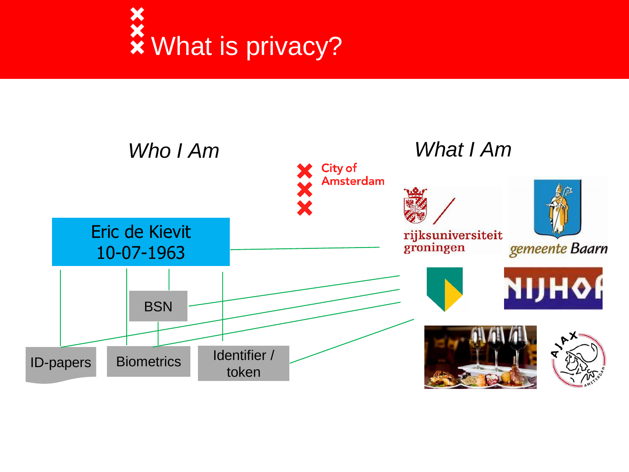

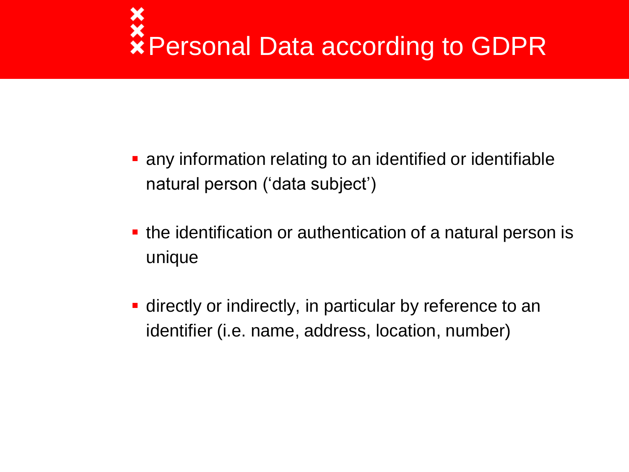# Personal Data according to GDPR

- **any information relating to an identified or identifiable** natural person ('data subject')
- **the identification or authentication of a natural person is** unique
- **-** directly or indirectly, in particular by reference to an identifier (i.e. name, address, location, number)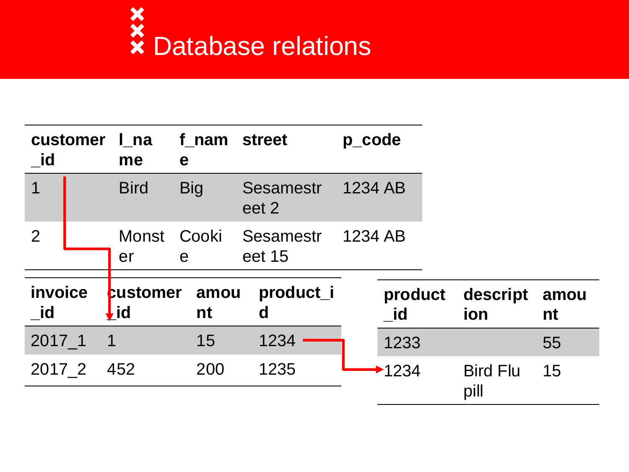

| customer<br><b>id</b>        |                         | l na<br>me                     | f nam street<br>e |                            | p_code  |               |                         |            |
|------------------------------|-------------------------|--------------------------------|-------------------|----------------------------|---------|---------------|-------------------------|------------|
| 1                            |                         | <b>Bird</b>                    | <b>Big</b>        | <b>Sesamestr</b><br>eet 2  | 1234 AB |               |                         |            |
| $\overline{2}$               |                         | Monst<br>er                    | Cooki<br>e        | <b>Sesamestr</b><br>eet 15 | 1234 AB |               |                         |            |
| <i>invoice</i><br><u>_id</u> |                         | <b>customer</b><br><b>l</b> id | amou<br>nt        | product_i<br>d             |         | product<br>id | descript<br>ion         | amou<br>nt |
| $2017 - 1$                   | $\overline{\mathbf{1}}$ |                                | 15                | 1234                       |         | 1233          |                         | 55         |
| 2017 2                       |                         | 452                            | 200               | 1235                       |         | 1234          | <b>Bird Flu</b><br>pill | 15         |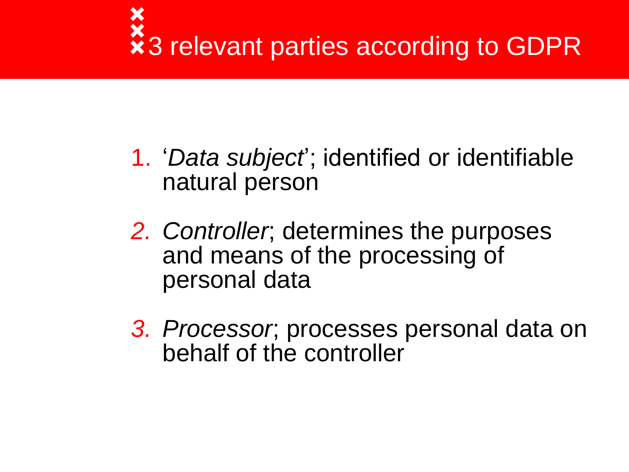# \*<br>\*3 relevant parties according to GDPR

- 1. '*Data subject*'; identified or identifiable natural person
- *2. Controller*; determines the purposes and means of the processing of personal data
- *3. Processor*; processes personal data on behalf of the controller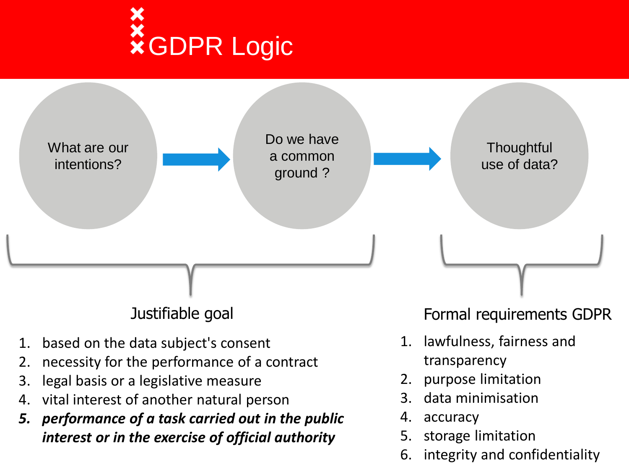

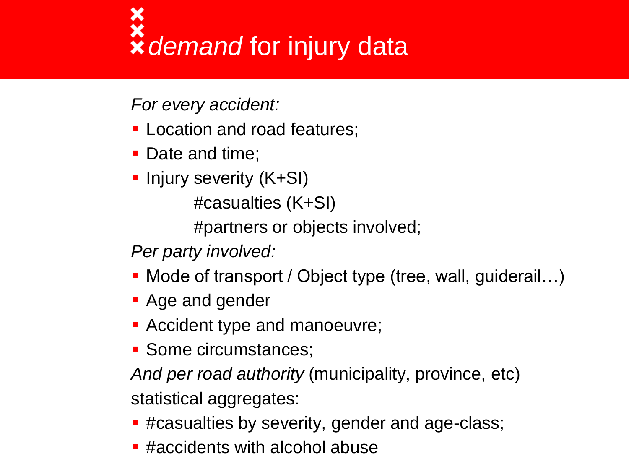# **x**<br>**x** demand for injury data

*For every accident:*

- **Location and road features;**
- Date and time;
- **Injury severity (K+SI)**

#casualties (K+SI)

#partners or objects involved;

*Per party involved:*

- Mode of transport / Object type (tree, wall, guiderail...)
- **Age and gender**
- **Accident type and manoeuvre;**
- **Some circumstances;**

*And per road authority* (municipality, province, etc) statistical aggregates:

- **E** #casualties by severity, gender and age-class;
- **E** #accidents with alcohol abuse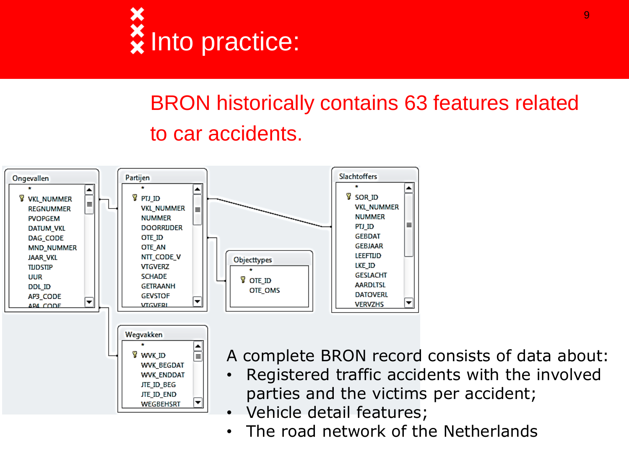

### BRON historically contains 63 features related to car accidents.



• The road network of the Netherlands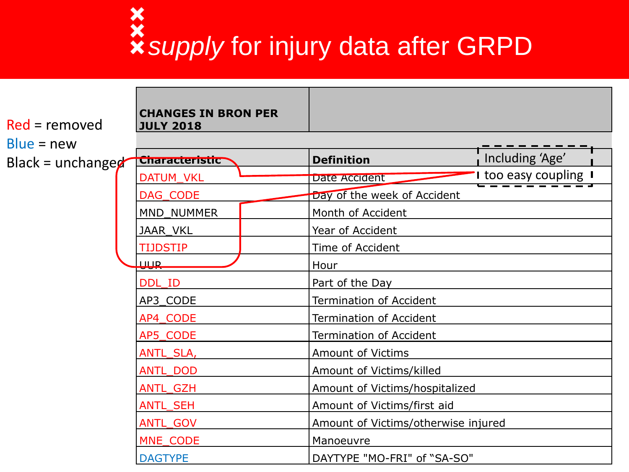# *supply* for injury data after GRPD

| $Red =$ removed   | <b>CHANGES IN BRON PER</b><br><b>JULY 2018</b> |                                                                                                                         |                     |  |  |
|-------------------|------------------------------------------------|-------------------------------------------------------------------------------------------------------------------------|---------------------|--|--|
| $Blue = new$      |                                                |                                                                                                                         |                     |  |  |
| Black = unchangeg | <b>Characteristic</b>                          | <b>Definition</b>                                                                                                       | Including 'Age'     |  |  |
|                   | DATUM_VKL                                      | Date Accident                                                                                                           | I too easy coupling |  |  |
|                   | DAG_CODE                                       | Day of the week of Accident                                                                                             |                     |  |  |
|                   | MND_NUMMER                                     | Month of Accident                                                                                                       |                     |  |  |
|                   | JAAR_VKL                                       | Year of Accident                                                                                                        |                     |  |  |
|                   | <b>TIJDSTIP</b>                                | Time of Accident                                                                                                        |                     |  |  |
|                   | <b>UUR</b>                                     | Hour                                                                                                                    |                     |  |  |
|                   | DDL ID                                         | Part of the Day                                                                                                         |                     |  |  |
|                   | AP3 CODE                                       | <b>Termination of Accident</b><br><b>Termination of Accident</b><br><b>Termination of Accident</b><br>Amount of Victims |                     |  |  |
|                   | AP4 CODE                                       |                                                                                                                         |                     |  |  |
|                   | AP5_CODE                                       |                                                                                                                         |                     |  |  |
|                   | ANTL_SLA,                                      |                                                                                                                         |                     |  |  |
|                   | <b>ANTL_DOD</b>                                | Amount of Victims/killed                                                                                                |                     |  |  |
|                   | ANTL_GZH                                       | Amount of Victims/hospitalized                                                                                          |                     |  |  |
|                   | <b>ANTL SEH</b>                                | Amount of Victims/first aid                                                                                             |                     |  |  |
|                   | ANTL_GOV                                       | Amount of Victims/otherwise injured                                                                                     |                     |  |  |
|                   | MNE_CODE                                       | Manoeuvre                                                                                                               |                     |  |  |
|                   | <b>DAGTYPE</b>                                 | DAYTYPE "MO-FRI" of "SA-SO"                                                                                             |                     |  |  |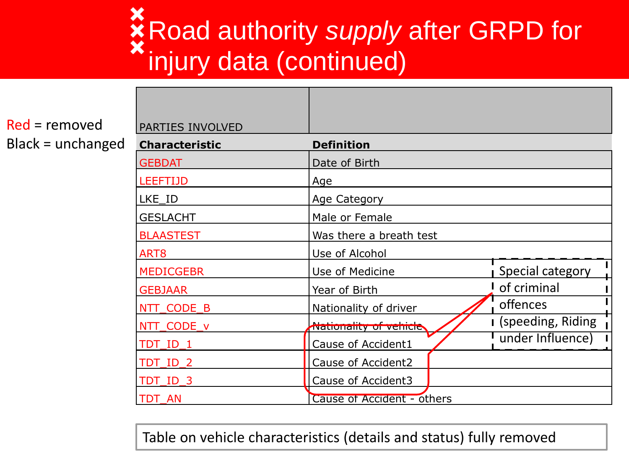### **X** Road authority *supply* after GRPD for injury data (continued)

Red = removed Black = unchanged

| PARTIES INVOLVED      |                               |                     |
|-----------------------|-------------------------------|---------------------|
| <b>Characteristic</b> | <b>Definition</b>             |                     |
| <b>GEBDAT</b>         | Date of Birth                 |                     |
| <b>LEEFTIJD</b>       | Age                           |                     |
| LKE ID                | <b>Age Category</b>           |                     |
| <b>GESLACHT</b>       | Male or Female                |                     |
| <b>BLAASTEST</b>      | Was there a breath test       |                     |
| ART8                  | Use of Alcohol                |                     |
| <b>MEDICGEBR</b>      | Use of Medicine               | Special category    |
| <b>GEBJAAR</b>        | Year of Birth                 | of criminal         |
| NTT CODE B            | Nationality of driver         | offences            |
| NTT CODE v            | <u>Nationality of vehicle</u> | I (speeding, Riding |
| TDT ID 1              | Cause of Accident1            | under Influence)    |
| TDT ID 2              | Cause of Accident2            |                     |
| TDT ID 3              | Cause of Accident3            |                     |
| TDT AN                | Cause of Accident - others    |                     |

Table on vehicle characteristics (details and status) fully removed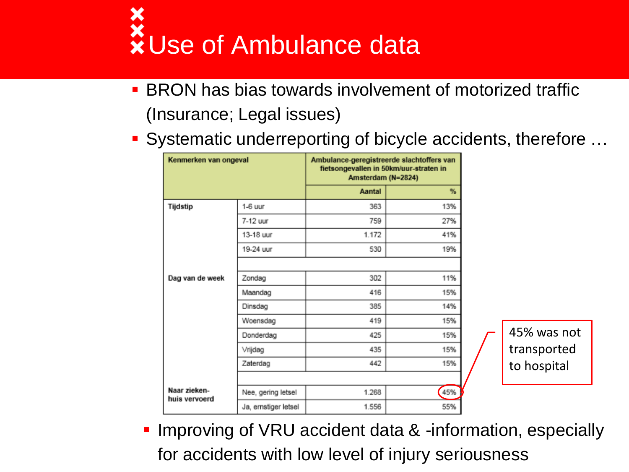

- **BRON** has bias towards involvement of motorized traffic (Insurance; Legal issues)
- Systematic underreporting of bicycle accidents, therefore …

| Kenmerken van ongeval         |                      | Ambulance-geregistreerde slachtoffers van<br>fietsongevallen in 50km/uur-straten in<br>Amsterdam (N=2824) |     |             |
|-------------------------------|----------------------|-----------------------------------------------------------------------------------------------------------|-----|-------------|
|                               |                      | Aantal                                                                                                    | %   |             |
| Tijdstip                      | 1-6 uur              | 363                                                                                                       | 13% |             |
|                               | 7-12 uur             | 759                                                                                                       | 27% |             |
|                               | 13-18 uur            | 1.172                                                                                                     | 41% |             |
|                               | 19-24 uur            | 530                                                                                                       | 19% |             |
|                               |                      |                                                                                                           |     |             |
| Dag van de week               | Zondag               | 302                                                                                                       | 11% |             |
|                               | Maandag              | 416                                                                                                       | 15% |             |
|                               | Dinsdag              | 385                                                                                                       | 14% |             |
|                               | Woensdag             | 419                                                                                                       | 15% |             |
|                               | Donderdag            | 425                                                                                                       | 15% | 45% was not |
|                               | Vrijdag              | 435                                                                                                       | 15% | transported |
|                               | Zaterdag             | 442                                                                                                       | 15% | to hospital |
|                               |                      |                                                                                                           |     |             |
| Naar zieken-<br>huis vervoerd | Nee, gering letsel   | 1.268                                                                                                     | 45% |             |
|                               | Ja, ernstiger letsel | 1.556                                                                                                     | 55% |             |

**Improving of VRU accident data & -information, especially** for accidents with low level of injury seriousness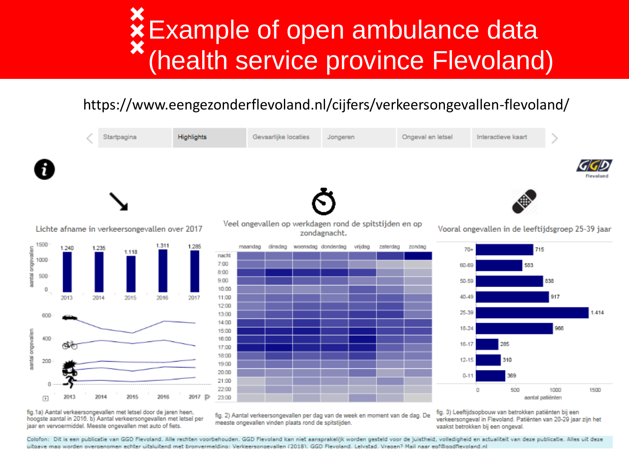## Example of open ambulance data (health service province Flevoland)

#### https://www.eengezonderflevoland.nl/cijfers/verkeersongevallen-flevoland/



fig.1a) Aantal verkeersongevallen met letsel door de jaren heen, hoogste aantal in 2016. b) Aantal verkeersongevallen met letsel per jaar en vervoermiddel. Meeste ongevallen met auto of fiets.

fig. 2) Aantal verkeersongevallen per dag van de week en moment van de dag. De meeste ongevallen vinden plaats rond de spitstijden.

fig. 3) Leeftijdsopbouw van betrokken patiënten bij een verkeersongeval in Flevoland. Patiënten van 20-29 jaar zijn het vaakst betrokken bij een ongeval.

Colofon: Dit is een publicatie van GGD Flevoland. Alle rechten voorbehouden. GGD Flevoland kan niet aansprakelijk worden gesteld voor de juistheid, volledigheid en actualiteit van deze publicatie. Alles uit deze uitgave mag worden overgenomen echter uitsluitend met bronvermelding: Verkeersongevallen (2018), GGD Flevoland, Lelvstad, Vragen? Mail naar egf@ggdflevoland,nl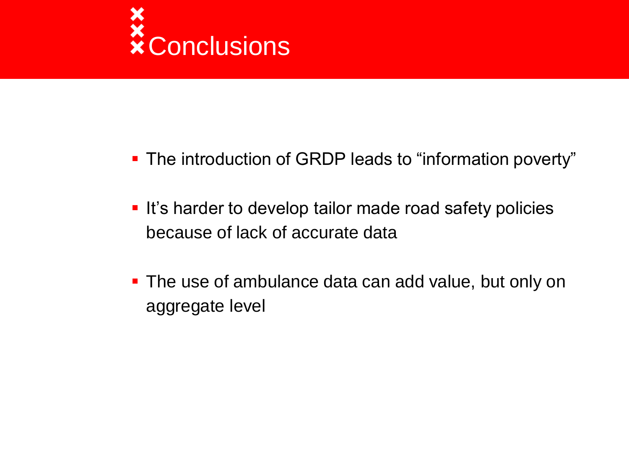

- **The introduction of GRDP leads to "information poverty"**
- **It's harder to develop tailor made road safety policies** because of lack of accurate data
- **The use of ambulance data can add value, but only on** aggregate level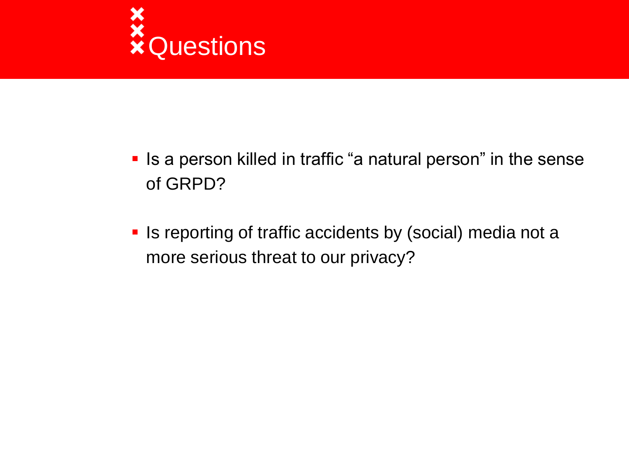

- **IF Is a person killed in traffic "a natural person" in the sense** of GRPD?
- **In Ity and Theorie is reporting of traffic accidents by (social) media not a** more serious threat to our privacy?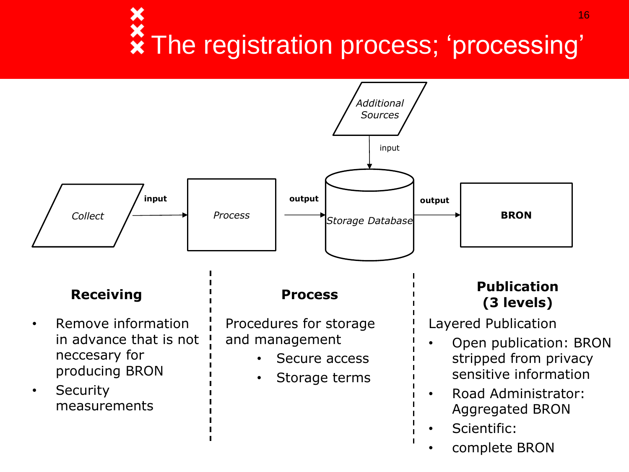### **\*** The registration process; 'processing' 16



• complete BRON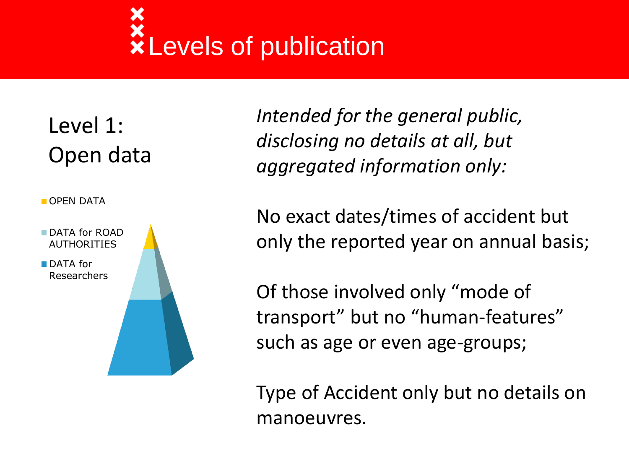## *<u>xLevels</u>* of publication

### Level 1: Open data

**OPEN DATA** 



*Intended for the general public, disclosing no details at all, but aggregated information only:*

No exact dates/times of accident but only the reported year on annual basis;

Of those involved only "mode of transport" but no "human-features" such as age or even age-groups;

Type of Accident only but no details on manoeuvres.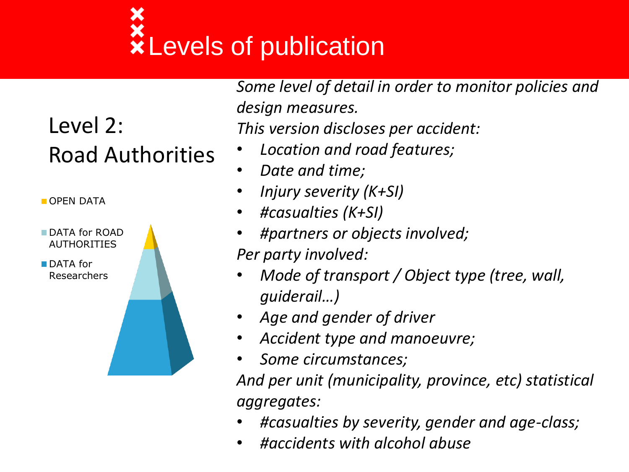# **XLevels of publication**

### Level 2: Road Authorities

**OPEN DATA** 



*Some level of detail in order to monitor policies and design measures. This version discloses per accident:* 

- *Location and road features;*
- *Date and time;*
- *Injury severity (K+SI)*
- *#casualties (K+SI)*
- *#partners or objects involved; Per party involved:*
- *Mode of transport / Object type (tree, wall, guiderail…)*
- *Age and gender of driver*
- *Accident type and manoeuvre;*
- *Some circumstances;*

*And per unit (municipality, province, etc) statistical aggregates:* 

- *#casualties by severity, gender and age-class;*
- *#accidents with alcohol abuse*